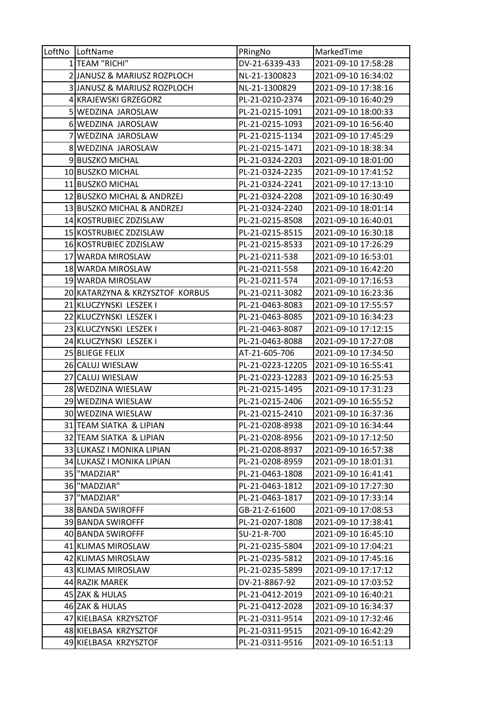| LoftNo LoftName                 | PRingNo          | MarkedTime          |
|---------------------------------|------------------|---------------------|
| 1 TEAM "RICHI"                  | DV-21-6339-433   | 2021-09-10 17:58:28 |
| 2 JANUSZ & MARIUSZ ROZPLOCH     | NL-21-1300823    | 2021-09-10 16:34:02 |
| 3 JANUSZ & MARIUSZ ROZPLOCH     | NL-21-1300829    | 2021-09-10 17:38:16 |
| 4 KRAJEWSKI GRZEGORZ            | PL-21-0210-2374  | 2021-09-10 16:40:29 |
| 5 WEDZINA JAROSLAW              | PL-21-0215-1091  | 2021-09-10 18:00:33 |
| 6 WEDZINA JAROSLAW              | PL-21-0215-1093  | 2021-09-10 16:56:40 |
| 7 WEDZINA JAROSLAW              | PL-21-0215-1134  | 2021-09-10 17:45:29 |
| 8 WEDZINA JAROSLAW              | PL-21-0215-1471  | 2021-09-10 18:38:34 |
| 9 BUSZKO MICHAL                 | PL-21-0324-2203  | 2021-09-10 18:01:00 |
| 10 BUSZKO MICHAL                | PL-21-0324-2235  | 2021-09-10 17:41:52 |
| 11 BUSZKO MICHAL                | PL-21-0324-2241  | 2021-09-10 17:13:10 |
| 12 BUSZKO MICHAL & ANDRZEJ      | PL-21-0324-2208  | 2021-09-10 16:30:49 |
| 13 BUSZKO MICHAL & ANDRZEJ      | PL-21-0324-2240  | 2021-09-10 18:01:14 |
| 14 KOSTRUBIEC ZDZISLAW          | PL-21-0215-8508  | 2021-09-10 16:40:01 |
| 15 KOSTRUBIEC ZDZISLAW          | PL-21-0215-8515  | 2021-09-10 16:30:18 |
| 16 KOSTRUBIEC ZDZISLAW          | PL-21-0215-8533  | 2021-09-10 17:26:29 |
| 17 WARDA MIROSLAW               | PL-21-0211-538   | 2021-09-10 16:53:01 |
| 18 WARDA MIROSLAW               | PL-21-0211-558   | 2021-09-10 16:42:20 |
| 19 WARDA MIROSLAW               | PL-21-0211-574   | 2021-09-10 17:16:53 |
| 20 KATARZYNA & KRZYSZTOF KORBUS | PL-21-0211-3082  | 2021-09-10 16:23:36 |
| 21 KLUCZYNSKI LESZEK I          | PL-21-0463-8083  | 2021-09-10 17:55:57 |
| 22 KLUCZYNSKI LESZEK I          | PL-21-0463-8085  | 2021-09-10 16:34:23 |
| 23 KLUCZYNSKI LESZEK I          | PL-21-0463-8087  | 2021-09-10 17:12:15 |
| 24 KLUCZYNSKI LESZEK I          | PL-21-0463-8088  | 2021-09-10 17:27:08 |
| 25 BLIEGE FELIX                 | AT-21-605-706    | 2021-09-10 17:34:50 |
| 26 CALUJ WIESLAW                | PL-21-0223-12205 | 2021-09-10 16:55:41 |
| 27 CALUJ WIESLAW                | PL-21-0223-12283 | 2021-09-10 16:25:53 |
| 28 WEDZINA WIESLAW              | PL-21-0215-1495  | 2021-09-10 17:31:23 |
| 29 WEDZINA WIESLAW              | PL-21-0215-2406  | 2021-09-10 16:55:52 |
| 30 WEDZINA WIESLAW              | PL-21-0215-2410  | 2021-09-10 16:37:36 |
| 31 TEAM SIATKA & LIPIAN         | PL-21-0208-8938  | 2021-09-10 16:34:44 |
| 32 TEAM SIATKA & LIPIAN         | PL-21-0208-8956  | 2021-09-10 17:12:50 |
| 33 LUKASZ I MONIKA LIPIAN       | PL-21-0208-8937  | 2021-09-10 16:57:38 |
| 34 LUKASZ I MONIKA LIPIAN       | PL-21-0208-8959  | 2021-09-10 18:01:31 |
| 35 MADZIAR"                     | PL-21-0463-1808  | 2021-09-10 16:41:41 |
| 36 "MADZIAR"                    | PL-21-0463-1812  | 2021-09-10 17:27:30 |
| 37 MADZIAR"                     | PL-21-0463-1817  | 2021-09-10 17:33:14 |
| 38 BANDA SWIROFFF               | GB-21-Z-61600    | 2021-09-10 17:08:53 |
| 39 BANDA SWIROFFF               | PL-21-0207-1808  | 2021-09-10 17:38:41 |
| 40 BANDA SWIROFFF               | SU-21-R-700      | 2021-09-10 16:45:10 |
| 41 KLIMAS MIROSLAW              | PL-21-0235-5804  | 2021-09-10 17:04:21 |
| 42 KLIMAS MIROSLAW              | PL-21-0235-5812  | 2021-09-10 17:45:16 |
| 43 KLIMAS MIROSLAW              | PL-21-0235-5899  | 2021-09-10 17:17:12 |
| 44 RAZIK MAREK                  | DV-21-8867-92    | 2021-09-10 17:03:52 |
| 45 ZAK & HULAS                  | PL-21-0412-2019  | 2021-09-10 16:40:21 |
| 46 ZAK & HULAS                  | PL-21-0412-2028  | 2021-09-10 16:34:37 |
| 47 KIELBASA KRZYSZTOF           | PL-21-0311-9514  | 2021-09-10 17:32:46 |
| 48 KIELBASA KRZYSZTOF           | PL-21-0311-9515  | 2021-09-10 16:42:29 |
| 49 KIELBASA KRZYSZTOF           | PL-21-0311-9516  | 2021-09-10 16:51:13 |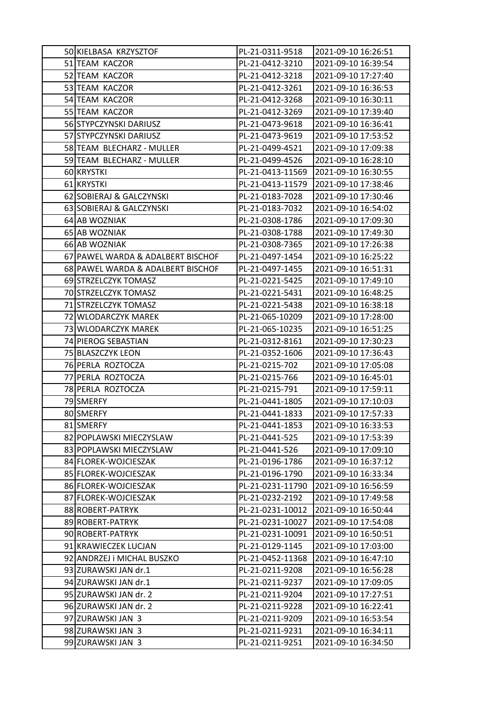| 50 KIELBASA KRZYSZTOF             | PL-21-0311-9518  | 2021-09-10 16:26:51 |
|-----------------------------------|------------------|---------------------|
| 51 TEAM KACZOR                    | PL-21-0412-3210  | 2021-09-10 16:39:54 |
| 52 TEAM KACZOR                    | PL-21-0412-3218  | 2021-09-10 17:27:40 |
| 53 TEAM KACZOR                    | PL-21-0412-3261  | 2021-09-10 16:36:53 |
| 54 TEAM KACZOR                    | PL-21-0412-3268  | 2021-09-10 16:30:11 |
| 55 TEAM KACZOR                    | PL-21-0412-3269  | 2021-09-10 17:39:40 |
| 56 STYPCZYNSKI DARIUSZ            | PL-21-0473-9618  | 2021-09-10 16:36:41 |
| 57 STYPCZYNSKI DARIUSZ            | PL-21-0473-9619  | 2021-09-10 17:53:52 |
| 58 TEAM BLECHARZ - MULLER         | PL-21-0499-4521  | 2021-09-10 17:09:38 |
| 59 TEAM BLECHARZ - MULLER         | PL-21-0499-4526  | 2021-09-10 16:28:10 |
| 60 KRYSTKI                        | PL-21-0413-11569 | 2021-09-10 16:30:55 |
| 61 KRYSTKI                        | PL-21-0413-11579 | 2021-09-10 17:38:46 |
| 62 SOBIERAJ & GALCZYNSKI          | PL-21-0183-7028  | 2021-09-10 17:30:46 |
| 63 SOBIERAJ & GALCZYNSKI          | PL-21-0183-7032  | 2021-09-10 16:54:02 |
| 64 AB WOZNIAK                     | PL-21-0308-1786  | 2021-09-10 17:09:30 |
| 65 AB WOZNIAK                     | PL-21-0308-1788  | 2021-09-10 17:49:30 |
| 66 AB WOZNIAK                     | PL-21-0308-7365  | 2021-09-10 17:26:38 |
| 67 PAWEL WARDA & ADALBERT BISCHOF | PL-21-0497-1454  | 2021-09-10 16:25:22 |
| 68 PAWEL WARDA & ADALBERT BISCHOF | PL-21-0497-1455  | 2021-09-10 16:51:31 |
| 69 STRZELCZYK TOMASZ              | PL-21-0221-5425  | 2021-09-10 17:49:10 |
| 70 STRZELCZYK TOMASZ              | PL-21-0221-5431  | 2021-09-10 16:48:25 |
| 71 STRZELCZYK TOMASZ              | PL-21-0221-5438  | 2021-09-10 16:38:18 |
| 72 WLODARCZYK MAREK               | PL-21-065-10209  | 2021-09-10 17:28:00 |
| 73 WLODARCZYK MAREK               | PL-21-065-10235  | 2021-09-10 16:51:25 |
| 74 PIEROG SEBASTIAN               | PL-21-0312-8161  | 2021-09-10 17:30:23 |
| 75 BLASZCZYK LEON                 | PL-21-0352-1606  | 2021-09-10 17:36:43 |
| 76 PERLA ROZTOCZA                 | PL-21-0215-702   | 2021-09-10 17:05:08 |
| 77 PERLA ROZTOCZA                 | PL-21-0215-766   | 2021-09-10 16:45:01 |
| 78 PERLA ROZTOCZA                 | PL-21-0215-791   | 2021-09-10 17:59:11 |
| 79 SMERFY                         | PL-21-0441-1805  | 2021-09-10 17:10:03 |
| 80 SMERFY                         | PL-21-0441-1833  | 2021-09-10 17:57:33 |
| 81 SMERFY                         | PL-21-0441-1853  | 2021-09-10 16:33:53 |
| 82 POPLAWSKI MIECZYSLAW           | PL-21-0441-525   | 2021-09-10 17:53:39 |
| 83 POPLAWSKI MIECZYSLAW           | PL-21-0441-526   | 2021-09-10 17:09:10 |
| 84 FLOREK-WOJCIESZAK              | PL-21-0196-1786  | 2021-09-10 16:37:12 |
| 85 FLOREK-WOJCIESZAK              | PL-21-0196-1790  | 2021-09-10 16:33:34 |
| 86 FLOREK-WOJCIESZAK              | PL-21-0231-11790 | 2021-09-10 16:56:59 |
| 87 FLOREK-WOJCIESZAK              | PL-21-0232-2192  | 2021-09-10 17:49:58 |
| 88 ROBERT-PATRYK                  | PL-21-0231-10012 | 2021-09-10 16:50:44 |
| 89 ROBERT-PATRYK                  | PL-21-0231-10027 | 2021-09-10 17:54:08 |
| 90 ROBERT-PATRYK                  | PL-21-0231-10091 | 2021-09-10 16:50:51 |
| 91 KRAWIECZEK LUCJAN              | PL-21-0129-1145  | 2021-09-10 17:03:00 |
| 92 ANDRZEJ i MICHAL BUSZKO        | PL-21-0452-11368 | 2021-09-10 16:47:10 |
| 93 ZURAWSKI JAN dr.1              | PL-21-0211-9208  | 2021-09-10 16:56:28 |
| 94 ZURAWSKI JAN dr.1              | PL-21-0211-9237  | 2021-09-10 17:09:05 |
| 95 ZURAWSKI JAN dr. 2             | PL-21-0211-9204  | 2021-09-10 17:27:51 |
| 96 ZURAWSKI JAN dr. 2             | PL-21-0211-9228  | 2021-09-10 16:22:41 |
| 97 ZURAWSKI JAN 3                 | PL-21-0211-9209  | 2021-09-10 16:53:54 |
| 98 ZURAWSKI JAN 3                 | PL-21-0211-9231  | 2021-09-10 16:34:11 |
| 99 ZURAWSKI JAN 3                 | PL-21-0211-9251  | 2021-09-10 16:34:50 |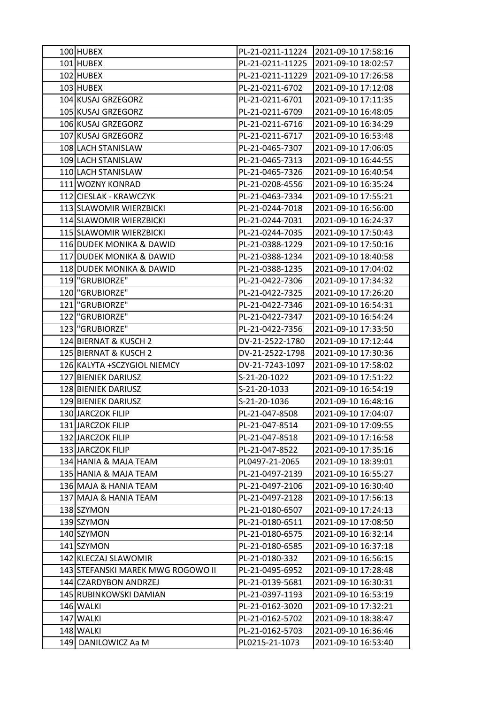| 100 HUBEX                         | PL-21-0211-11224 | 2021-09-10 17:58:16 |
|-----------------------------------|------------------|---------------------|
| 101 HUBEX                         | PL-21-0211-11225 | 2021-09-10 18:02:57 |
| 102 HUBEX                         | PL-21-0211-11229 | 2021-09-10 17:26:58 |
| 103 HUBEX                         | PL-21-0211-6702  | 2021-09-10 17:12:08 |
| 104 KUSAJ GRZEGORZ                | PL-21-0211-6701  | 2021-09-10 17:11:35 |
| 105 KUSAJ GRZEGORZ                | PL-21-0211-6709  | 2021-09-10 16:48:05 |
| 106 KUSAJ GRZEGORZ                | PL-21-0211-6716  | 2021-09-10 16:34:29 |
| 107 KUSAJ GRZEGORZ                | PL-21-0211-6717  | 2021-09-10 16:53:48 |
| 108 LACH STANISLAW                | PL-21-0465-7307  | 2021-09-10 17:06:05 |
| 109 LACH STANISLAW                | PL-21-0465-7313  | 2021-09-10 16:44:55 |
| 110 LACH STANISLAW                | PL-21-0465-7326  | 2021-09-10 16:40:54 |
| 111 WOZNY KONRAD                  | PL-21-0208-4556  | 2021-09-10 16:35:24 |
| 112 CIESLAK - KRAWCZYK            | PL-21-0463-7334  | 2021-09-10 17:55:21 |
| 113 SLAWOMIR WIERZBICKI           | PL-21-0244-7018  | 2021-09-10 16:56:00 |
| 114 SLAWOMIR WIERZBICKI           | PL-21-0244-7031  | 2021-09-10 16:24:37 |
| 115 SLAWOMIR WIERZBICKI           | PL-21-0244-7035  | 2021-09-10 17:50:43 |
| 116 DUDEK MONIKA & DAWID          | PL-21-0388-1229  | 2021-09-10 17:50:16 |
| 117 DUDEK MONIKA & DAWID          | PL-21-0388-1234  | 2021-09-10 18:40:58 |
| 118 DUDEK MONIKA & DAWID          | PL-21-0388-1235  | 2021-09-10 17:04:02 |
| 119 "GRUBIORZE"                   | PL-21-0422-7306  | 2021-09-10 17:34:32 |
| 120 "GRUBIORZE"                   | PL-21-0422-7325  | 2021-09-10 17:26:20 |
| 121 "GRUBIORZE"                   | PL-21-0422-7346  | 2021-09-10 16:54:31 |
| 122 "GRUBIORZE"                   | PL-21-0422-7347  | 2021-09-10 16:54:24 |
| 123   "GRUBIORZE"                 | PL-21-0422-7356  | 2021-09-10 17:33:50 |
| 124 BIERNAT & KUSCH 2             | DV-21-2522-1780  | 2021-09-10 17:12:44 |
| 125 BIERNAT & KUSCH 2             | DV-21-2522-1798  | 2021-09-10 17:30:36 |
| 126 KALYTA + SCZYGIOL NIEMCY      | DV-21-7243-1097  | 2021-09-10 17:58:02 |
| 127 BIENIEK DARIUSZ               | S-21-20-1022     | 2021-09-10 17:51:22 |
| 128 BIENIEK DARIUSZ               | S-21-20-1033     | 2021-09-10 16:54:19 |
| 129 BIENIEK DARIUSZ               | S-21-20-1036     | 2021-09-10 16:48:16 |
| 130 JARCZOK FILIP                 | PL-21-047-8508   | 2021-09-10 17:04:07 |
| 131 JARCZOK FILIP                 | PL-21-047-8514   | 2021-09-10 17:09:55 |
| 132 JARCZOK FILIP                 | PL-21-047-8518   | 2021-09-10 17:16:58 |
| 133 JARCZOK FILIP                 | PL-21-047-8522   | 2021-09-10 17:35:16 |
| 134 HANIA & MAJA TEAM             | PL0497-21-2065   | 2021-09-10 18:39:01 |
| 135 HANIA & MAJA TEAM             | PL-21-0497-2139  | 2021-09-10 16:55:27 |
| 136 MAJA & HANIA TEAM             | PL-21-0497-2106  | 2021-09-10 16:30:40 |
| 137 MAJA & HANIA TEAM             | PL-21-0497-2128  | 2021-09-10 17:56:13 |
| 138 SZYMON                        | PL-21-0180-6507  | 2021-09-10 17:24:13 |
| 139 SZYMON                        | PL-21-0180-6511  | 2021-09-10 17:08:50 |
| 140 SZYMON                        | PL-21-0180-6575  | 2021-09-10 16:32:14 |
| 141 SZYMON                        | PL-21-0180-6585  | 2021-09-10 16:37:18 |
| 142 KLECZAJ SLAWOMIR              | PL-21-0180-332   | 2021-09-10 16:56:15 |
| 143 STEFANSKI MAREK MWG ROGOWO II | PL-21-0495-6952  | 2021-09-10 17:28:48 |
| 144 CZARDYBON ANDRZEJ             | PL-21-0139-5681  | 2021-09-10 16:30:31 |
| 145 RUBINKOWSKI DAMIAN            | PL-21-0397-1193  | 2021-09-10 16:53:19 |
| 146 WALKI                         | PL-21-0162-3020  | 2021-09-10 17:32:21 |
| 147 WALKI                         | PL-21-0162-5702  | 2021-09-10 18:38:47 |
| 148 WALKI                         | PL-21-0162-5703  | 2021-09-10 16:36:46 |
| 149 DANILOWICZ Aa M               | PL0215-21-1073   | 2021-09-10 16:53:40 |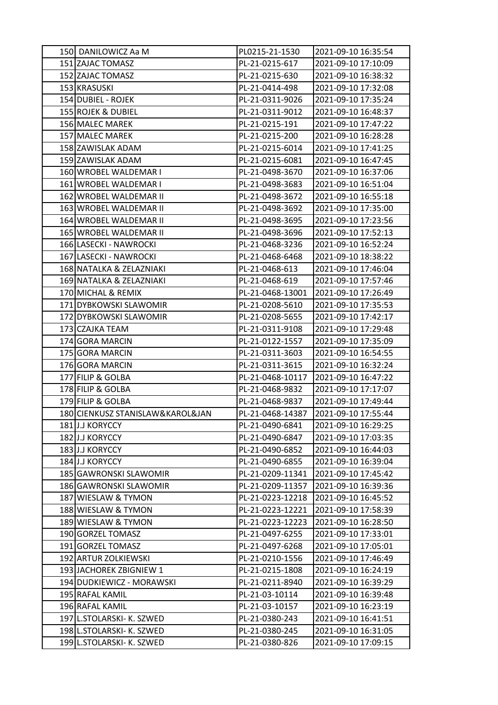| 150 DANILOWICZ Aa M              | PL0215-21-1530   | 2021-09-10 16:35:54 |
|----------------------------------|------------------|---------------------|
| 151 ZAJAC TOMASZ                 | PL-21-0215-617   | 2021-09-10 17:10:09 |
| 152 ZAJAC TOMASZ                 | PL-21-0215-630   | 2021-09-10 16:38:32 |
| 153 KRASUSKI                     | PL-21-0414-498   | 2021-09-10 17:32:08 |
| 154 DUBIEL - ROJEK               | PL-21-0311-9026  | 2021-09-10 17:35:24 |
| 155 ROJEK & DUBIEL               | PL-21-0311-9012  | 2021-09-10 16:48:37 |
| 156 MALEC MAREK                  | PL-21-0215-191   | 2021-09-10 17:47:22 |
| 157 MALEC MAREK                  | PL-21-0215-200   | 2021-09-10 16:28:28 |
| 158 ZAWISLAK ADAM                | PL-21-0215-6014  | 2021-09-10 17:41:25 |
| 159 ZAWISLAK ADAM                | PL-21-0215-6081  | 2021-09-10 16:47:45 |
| 160 WROBEL WALDEMAR I            | PL-21-0498-3670  | 2021-09-10 16:37:06 |
| 161 WROBEL WALDEMAR I            | PL-21-0498-3683  | 2021-09-10 16:51:04 |
| 162 WROBEL WALDEMAR II           | PL-21-0498-3672  | 2021-09-10 16:55:18 |
| 163 WROBEL WALDEMAR II           | PL-21-0498-3692  | 2021-09-10 17:35:00 |
| 164 WROBEL WALDEMAR II           | PL-21-0498-3695  | 2021-09-10 17:23:56 |
| 165 WROBEL WALDEMAR II           | PL-21-0498-3696  | 2021-09-10 17:52:13 |
| 166 LASECKI - NAWROCKI           | PL-21-0468-3236  | 2021-09-10 16:52:24 |
| 167 LASECKI - NAWROCKI           | PL-21-0468-6468  | 2021-09-10 18:38:22 |
| 168 NATALKA & ZELAZNIAKI         | PL-21-0468-613   | 2021-09-10 17:46:04 |
| 169 NATALKA & ZELAZNIAKI         | PL-21-0468-619   | 2021-09-10 17:57:46 |
| 170 MICHAL & REMIX               | PL-21-0468-13001 | 2021-09-10 17:26:49 |
| 171 DYBKOWSKI SLAWOMIR           | PL-21-0208-5610  | 2021-09-10 17:35:53 |
| 172 DYBKOWSKI SLAWOMIR           | PL-21-0208-5655  | 2021-09-10 17:42:17 |
| 173 CZAJKA TEAM                  | PL-21-0311-9108  | 2021-09-10 17:29:48 |
| 174 GORA MARCIN                  | PL-21-0122-1557  | 2021-09-10 17:35:09 |
| 175 GORA MARCIN                  | PL-21-0311-3603  | 2021-09-10 16:54:55 |
| 176 GORA MARCIN                  | PL-21-0311-3615  | 2021-09-10 16:32:24 |
| 177 FILIP & GOLBA                | PL-21-0468-10117 | 2021-09-10 16:47:22 |
| 178 FILIP & GOLBA                | PL-21-0468-9832  | 2021-09-10 17:17:07 |
| 179 FILIP & GOLBA                | PL-21-0468-9837  | 2021-09-10 17:49:44 |
| 180 CIENKUSZ STANISLAW&KAROL&JAN | PL-21-0468-14387 | 2021-09-10 17:55:44 |
| 181 J.J KORYCCY                  | PL-21-0490-6841  | 2021-09-10 16:29:25 |
| 182JJJJ KORYCCY                  | PL-21-0490-6847  | 2021-09-10 17:03:35 |
| 183 J.J KORYCCY                  | PL-21-0490-6852  | 2021-09-10 16:44:03 |
| 184 J.J KORYCCY                  | PL-21-0490-6855  | 2021-09-10 16:39:04 |
| 185 GAWRONSKI SLAWOMIR           | PL-21-0209-11341 | 2021-09-10 17:45:42 |
| 186 GAWRONSKI SLAWOMIR           | PL-21-0209-11357 | 2021-09-10 16:39:36 |
| 187 WIESLAW & TYMON              | PL-21-0223-12218 | 2021-09-10 16:45:52 |
| 188 WIESLAW & TYMON              | PL-21-0223-12221 | 2021-09-10 17:58:39 |
| 189 WIESLAW & TYMON              | PL-21-0223-12223 | 2021-09-10 16:28:50 |
| 190 GORZEL TOMASZ                | PL-21-0497-6255  | 2021-09-10 17:33:01 |
| 191 GORZEL TOMASZ                | PL-21-0497-6268  | 2021-09-10 17:05:01 |
| 192 ARTUR ZOLKIEWSKI             | PL-21-0210-1556  | 2021-09-10 17:46:49 |
| 193 JACHOREK ZBIGNIEW 1          | PL-21-0215-1808  | 2021-09-10 16:24:19 |
| 194 DUDKIEWICZ - MORAWSKI        | PL-21-0211-8940  | 2021-09-10 16:39:29 |
| 195 RAFAL KAMIL                  | PL-21-03-10114   | 2021-09-10 16:39:48 |
| 196 RAFAL KAMIL                  | PL-21-03-10157   | 2021-09-10 16:23:19 |
| 197 L.STOLARSKI- K. SZWED        | PL-21-0380-243   | 2021-09-10 16:41:51 |
| 198 L.STOLARSKI- K. SZWED        | PL-21-0380-245   | 2021-09-10 16:31:05 |
| 199 L.STOLARSKI- K. SZWED        | PL-21-0380-826   | 2021-09-10 17:09:15 |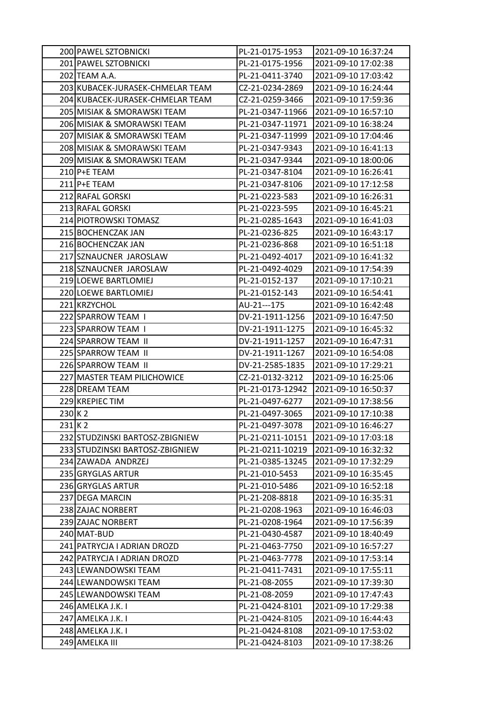|         | 200 PAWEL SZTOBNICKI             | PL-21-0175-1953  | 2021-09-10 16:37:24 |
|---------|----------------------------------|------------------|---------------------|
|         | 201 PAWEL SZTOBNICKI             | PL-21-0175-1956  | 2021-09-10 17:02:38 |
|         | 202 TEAM A.A.                    | PL-21-0411-3740  | 2021-09-10 17:03:42 |
|         | 203 KUBACEK-JURASEK-CHMELAR TEAM | CZ-21-0234-2869  | 2021-09-10 16:24:44 |
|         | 204 KUBACEK-JURASEK-CHMELAR TEAM | CZ-21-0259-3466  | 2021-09-10 17:59:36 |
|         | 205 MISIAK & SMORAWSKI TEAM      | PL-21-0347-11966 | 2021-09-10 16:57:10 |
|         | 206 MISIAK & SMORAWSKI TEAM      | PL-21-0347-11971 | 2021-09-10 16:38:24 |
|         | 207 MISIAK & SMORAWSKI TEAM      | PL-21-0347-11999 | 2021-09-10 17:04:46 |
|         | 208 MISIAK & SMORAWSKI TEAM      | PL-21-0347-9343  | 2021-09-10 16:41:13 |
|         | 209 MISIAK & SMORAWSKI TEAM      | PL-21-0347-9344  | 2021-09-10 18:00:06 |
|         | 210 P+E TEAM                     | PL-21-0347-8104  | 2021-09-10 16:26:41 |
|         | 211 P+E TEAM                     | PL-21-0347-8106  | 2021-09-10 17:12:58 |
|         | 212 RAFAL GORSKI                 | PL-21-0223-583   | 2021-09-10 16:26:31 |
|         | 213 RAFAL GORSKI                 | PL-21-0223-595   | 2021-09-10 16:45:21 |
|         | 214 PIOTROWSKI TOMASZ            | PL-21-0285-1643  | 2021-09-10 16:41:03 |
|         | 215 BOCHENCZAK JAN               | PL-21-0236-825   | 2021-09-10 16:43:17 |
|         | 216 BOCHENCZAK JAN               | PL-21-0236-868   | 2021-09-10 16:51:18 |
|         | 217 SZNAUCNER JAROSLAW           | PL-21-0492-4017  | 2021-09-10 16:41:32 |
|         | 218 SZNAUCNER JAROSLAW           | PL-21-0492-4029  | 2021-09-10 17:54:39 |
|         | 219 LOEWE BARTLOMIEJ             | PL-21-0152-137   | 2021-09-10 17:10:21 |
|         | 220 LOEWE BARTLOMIEJ             | PL-21-0152-143   | 2021-09-10 16:54:41 |
|         | 221 KRZYCHOL                     | AU-21---175      | 2021-09-10 16:42:48 |
|         | 222 SPARROW TEAM I               | DV-21-1911-1256  | 2021-09-10 16:47:50 |
|         | 223 SPARROW TEAM I               | DV-21-1911-1275  | 2021-09-10 16:45:32 |
|         | 224 SPARROW TEAM II              | DV-21-1911-1257  | 2021-09-10 16:47:31 |
|         | 225 SPARROW TEAM II              | DV-21-1911-1267  | 2021-09-10 16:54:08 |
|         | 226 SPARROW TEAM II              | DV-21-2585-1835  | 2021-09-10 17:29:21 |
|         | 227 MASTER TEAM PILICHOWICE      | CZ-21-0132-3212  | 2021-09-10 16:25:06 |
|         | 228 DREAM TEAM                   | PL-21-0173-12942 | 2021-09-10 16:50:37 |
|         | 229 KREPIEC TIM                  | PL-21-0497-6277  | 2021-09-10 17:38:56 |
| 230 K 2 |                                  | PL-21-0497-3065  | 2021-09-10 17:10:38 |
| 231 K 2 |                                  | PL-21-0497-3078  | 2021-09-10 16:46:27 |
|         | 232 STUDZINSKI BARTOSZ-ZBIGNIEW  | PL-21-0211-10151 | 2021-09-10 17:03:18 |
|         | 233 STUDZINSKI BARTOSZ-ZBIGNIEW  | PL-21-0211-10219 | 2021-09-10 16:32:32 |
|         | 234 ZAWADA ANDRZEJ               | PL-21-0385-13245 | 2021-09-10 17:32:29 |
|         | 235 GRYGLAS ARTUR                | PL-21-010-5453   | 2021-09-10 16:35:45 |
|         | 236 GRYGLAS ARTUR                | PL-21-010-5486   | 2021-09-10 16:52:18 |
|         | 237 DEGA MARCIN                  | PL-21-208-8818   | 2021-09-10 16:35:31 |
|         | 238 ZAJAC NORBERT                | PL-21-0208-1963  | 2021-09-10 16:46:03 |
|         | 239 ZAJAC NORBERT                | PL-21-0208-1964  | 2021-09-10 17:56:39 |
|         | 240 MAT-BUD                      | PL-21-0430-4587  | 2021-09-10 18:40:49 |
|         | 241 PATRYCJA I ADRIAN DROZD      | PL-21-0463-7750  | 2021-09-10 16:57:27 |
|         | 242 PATRYCJA I ADRIAN DROZD      | PL-21-0463-7778  | 2021-09-10 17:53:14 |
|         | 243 LEWANDOWSKI TEAM             | PL-21-0411-7431  | 2021-09-10 17:55:11 |
|         | 244 LEWANDOWSKI TEAM             | PL-21-08-2055    | 2021-09-10 17:39:30 |
|         | 245 LEWANDOWSKI TEAM             | PL-21-08-2059    | 2021-09-10 17:47:43 |
|         | 246 AMELKA J.K. I                | PL-21-0424-8101  | 2021-09-10 17:29:38 |
|         | 247 AMELKA J.K. I                | PL-21-0424-8105  | 2021-09-10 16:44:43 |
|         | 248 AMELKA J.K. I                | PL-21-0424-8108  | 2021-09-10 17:53:02 |
|         | 249 AMELKA III                   | PL-21-0424-8103  | 2021-09-10 17:38:26 |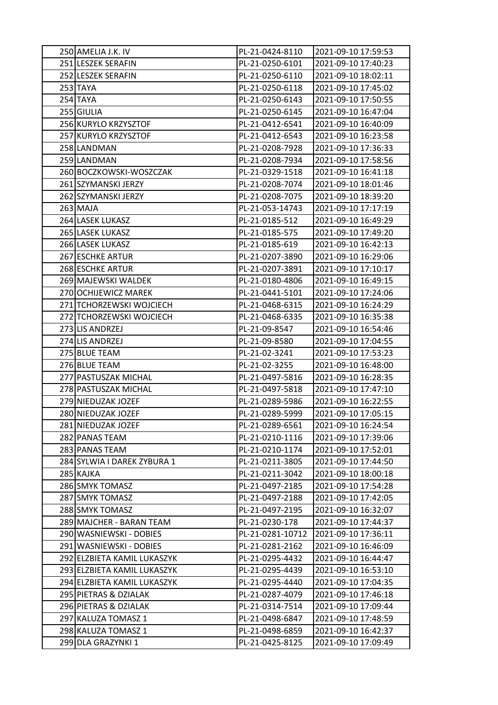| 250 AMELIA J.K. IV          | PL-21-0424-8110  | 2021-09-10 17:59:53 |
|-----------------------------|------------------|---------------------|
| 251 LESZEK SERAFIN          | PL-21-0250-6101  | 2021-09-10 17:40:23 |
| 252 LESZEK SERAFIN          | PL-21-0250-6110  | 2021-09-10 18:02:11 |
| 253 TAYA                    | PL-21-0250-6118  | 2021-09-10 17:45:02 |
| 254 TAYA                    | PL-21-0250-6143  | 2021-09-10 17:50:55 |
| 255 GIULIA                  | PL-21-0250-6145  | 2021-09-10 16:47:04 |
| 256 KURYLO KRZYSZTOF        | PL-21-0412-6541  | 2021-09-10 16:40:09 |
| 257 KURYLO KRZYSZTOF        | PL-21-0412-6543  | 2021-09-10 16:23:58 |
| 258 LANDMAN                 | PL-21-0208-7928  | 2021-09-10 17:36:33 |
| 259 LANDMAN                 | PL-21-0208-7934  | 2021-09-10 17:58:56 |
| 260 BOCZKOWSKI-WOSZCZAK     | PL-21-0329-1518  | 2021-09-10 16:41:18 |
| 261 SZYMANSKI JERZY         | PL-21-0208-7074  | 2021-09-10 18:01:46 |
| 262 SZYMANSKI JERZY         | PL-21-0208-7075  | 2021-09-10 18:39:20 |
| 263 MAJA                    | PL-21-053-14743  | 2021-09-10 17:17:19 |
| 264 LASEK LUKASZ            | PL-21-0185-512   | 2021-09-10 16:49:29 |
| 265 LASEK LUKASZ            | PL-21-0185-575   | 2021-09-10 17:49:20 |
| 266 LASEK LUKASZ            | PL-21-0185-619   | 2021-09-10 16:42:13 |
| 267 ESCHKE ARTUR            | PL-21-0207-3890  | 2021-09-10 16:29:06 |
| 268 ESCHKE ARTUR            | PL-21-0207-3891  | 2021-09-10 17:10:17 |
| 269 MAJEWSKI WALDEK         | PL-21-0180-4806  | 2021-09-10 16:49:15 |
| 270 OCHIJEWICZ MAREK        | PL-21-0441-5101  | 2021-09-10 17:24:06 |
| 271 TCHORZEWSKI WOJCIECH    | PL-21-0468-6315  | 2021-09-10 16:24:29 |
| 272 TCHORZEWSKI WOJCIECH    | PL-21-0468-6335  | 2021-09-10 16:35:38 |
| 273 LIS ANDRZEJ             | PL-21-09-8547    | 2021-09-10 16:54:46 |
| 274 LIS ANDRZEJ             | PL-21-09-8580    | 2021-09-10 17:04:55 |
| 275 BLUE TEAM               | PL-21-02-3241    | 2021-09-10 17:53:23 |
| 276 BLUE TEAM               | PL-21-02-3255    | 2021-09-10 16:48:00 |
| 277 PASTUSZAK MICHAL        | PL-21-0497-5816  | 2021-09-10 16:28:35 |
| 278 PASTUSZAK MICHAL        | PL-21-0497-5818  | 2021-09-10 17:47:10 |
| 279 NIEDUZAK JOZEF          | PL-21-0289-5986  | 2021-09-10 16:22:55 |
| 280 NIEDUZAK JOZEF          | PL-21-0289-5999  | 2021-09-10 17:05:15 |
| 281 NIEDUZAK JOZEF          | PL-21-0289-6561  | 2021-09-10 16:24:54 |
| 282 PANAS TEAM              | PL-21-0210-1116  | 2021-09-10 17:39:06 |
| 283 PANAS TEAM              | PL-21-0210-1174  | 2021-09-10 17:52:01 |
| 284 SYLWIA I DAREK ZYBURA 1 | PL-21-0211-3805  | 2021-09-10 17:44:50 |
| 285 KAJKA                   | PL-21-0211-3042  | 2021-09-10 18:00:18 |
| 286 SMYK TOMASZ             | PL-21-0497-2185  | 2021-09-10 17:54:28 |
| 287 SMYK TOMASZ             | PL-21-0497-2188  | 2021-09-10 17:42:05 |
| 288 SMYK TOMASZ             | PL-21-0497-2195  | 2021-09-10 16:32:07 |
| 289 MAJCHER - BARAN TEAM    | PL-21-0230-178   | 2021-09-10 17:44:37 |
| 290 WASNIEWSKI - DOBIES     | PL-21-0281-10712 | 2021-09-10 17:36:11 |
| 291 WASNIEWSKI - DOBIES     | PL-21-0281-2162  | 2021-09-10 16:46:09 |
| 292 ELZBIETA KAMIL LUKASZYK | PL-21-0295-4432  | 2021-09-10 16:44:47 |
| 293 ELZBIETA KAMIL LUKASZYK | PL-21-0295-4439  | 2021-09-10 16:53:10 |
| 294 ELZBIETA KAMIL LUKASZYK | PL-21-0295-4440  | 2021-09-10 17:04:35 |
| 295 PIETRAS & DZIALAK       | PL-21-0287-4079  | 2021-09-10 17:46:18 |
| 296 PIETRAS & DZIALAK       | PL-21-0314-7514  | 2021-09-10 17:09:44 |
| 297 KALUZA TOMASZ 1         | PL-21-0498-6847  | 2021-09-10 17:48:59 |
| 298 KALUZA TOMASZ 1         | PL-21-0498-6859  | 2021-09-10 16:42:37 |
| 299 DLA GRAZYNKI 1          | PL-21-0425-8125  | 2021-09-10 17:09:49 |